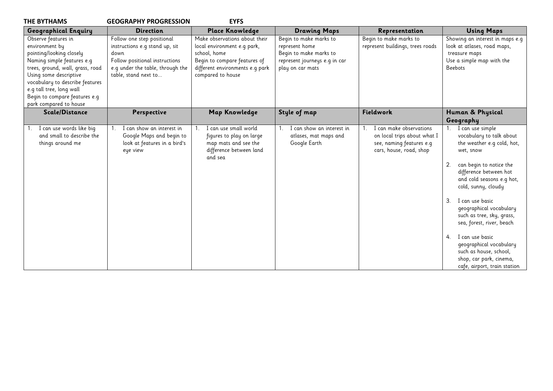| <b>THE BYTHAMS</b>                                                                                                                                                                                                                                                                      | <b>GEOGRAPHY PROGRESSION</b>                                                                                                                                       | <b>EYFS</b>                                                                                                                                                          |                                                                                                                         |                                                                                                               |                                                                                                                                                                                                                                                                                                                                                                                                                                                                  |
|-----------------------------------------------------------------------------------------------------------------------------------------------------------------------------------------------------------------------------------------------------------------------------------------|--------------------------------------------------------------------------------------------------------------------------------------------------------------------|----------------------------------------------------------------------------------------------------------------------------------------------------------------------|-------------------------------------------------------------------------------------------------------------------------|---------------------------------------------------------------------------------------------------------------|------------------------------------------------------------------------------------------------------------------------------------------------------------------------------------------------------------------------------------------------------------------------------------------------------------------------------------------------------------------------------------------------------------------------------------------------------------------|
| <b>Geographical Enquiry</b>                                                                                                                                                                                                                                                             | <b>Direction</b>                                                                                                                                                   | <b>Place Knowledge</b>                                                                                                                                               | <b>Drawing Maps</b>                                                                                                     | Representation                                                                                                | <b>Using Maps</b>                                                                                                                                                                                                                                                                                                                                                                                                                                                |
| Observe features in<br>environment by<br>pointing/looking closely<br>Naming simple features e.g<br>trees, ground, wall, grass, road<br>Using some descriptive<br>vocabulary to describe features<br>e.g tall tree, long wall<br>Begin to compare features e.g<br>park compared to house | Follow one step positional<br>instructions e.g stand up, sit<br>down<br>Follow positional instructions<br>e.g under the table, through the<br>table, stand next to | Make observations about their<br>local environment e.g park,<br>school, home<br>Begin to compare features of<br>different environments e.g park<br>compared to house | Begin to make marks to<br>represent home<br>Begin to make marks to<br>represent journeys e.g in car<br>play on car mats | Begin to make marks to<br>represent buildings, trees roads                                                    | Showing an interest in maps e.g<br>look at atlases, road maps,<br>treasure maps<br>Use a simple map with the<br><b>Beebots</b>                                                                                                                                                                                                                                                                                                                                   |
| Scale/Distance                                                                                                                                                                                                                                                                          | Perspective                                                                                                                                                        | Map Knowledge                                                                                                                                                        | Style of map                                                                                                            | Fieldwork                                                                                                     | Human & Physical<br>Geography                                                                                                                                                                                                                                                                                                                                                                                                                                    |
| I can use words like big<br>and small to describe the<br>things around me                                                                                                                                                                                                               | I can show an interest in<br>Google Maps and begin to<br>look at features in a bird's<br>eye view                                                                  | I can use small world<br>figures to play on large<br>map mats and see the<br>difference between land<br>and sea                                                      | I can show an interest in<br>atlases, mat maps and<br>Google Earth                                                      | I can make observations<br>on local trips about what I<br>see, naming features e.g<br>cars, house, road, shop | 1. I can use simple<br>vocabulary to talk about<br>the weather e.g cold, hot,<br>wet, snow<br>2.<br>can begin to notice the<br>difference between hot<br>and cold seasons e.g hot,<br>cold, sunny, cloudy<br>I can use basic<br>3.<br>geographical vocabulary<br>such as tree, sky, grass,<br>sea, forest, river, beach<br>I can use basic<br>4.<br>geographical vocabulary<br>such as house, school,<br>shop, car park, cinema,<br>cafe, airport, train station |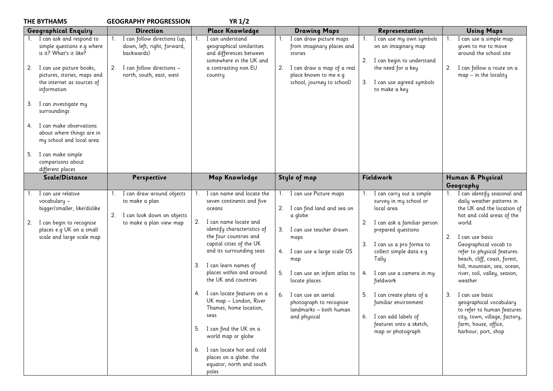| <b>THE BYTHAMS</b>                                                                                                                                                                                                                                                                                                                                                                     | <b>GEOGRAPHY PROGRESSION</b>                                                                                                                   | <b>YR 1/2</b>                                                                                                                                                                                                                                                                                                                                                                                                                                                                                                                                        |                                                                                                                                                                                                                                                                                                                       |                                                                                                                                                                                                                                                                                                                                                                           |                                                                                                                                                                                                                                                                                                                                                                                                                                                                                                  |
|----------------------------------------------------------------------------------------------------------------------------------------------------------------------------------------------------------------------------------------------------------------------------------------------------------------------------------------------------------------------------------------|------------------------------------------------------------------------------------------------------------------------------------------------|------------------------------------------------------------------------------------------------------------------------------------------------------------------------------------------------------------------------------------------------------------------------------------------------------------------------------------------------------------------------------------------------------------------------------------------------------------------------------------------------------------------------------------------------------|-----------------------------------------------------------------------------------------------------------------------------------------------------------------------------------------------------------------------------------------------------------------------------------------------------------------------|---------------------------------------------------------------------------------------------------------------------------------------------------------------------------------------------------------------------------------------------------------------------------------------------------------------------------------------------------------------------------|--------------------------------------------------------------------------------------------------------------------------------------------------------------------------------------------------------------------------------------------------------------------------------------------------------------------------------------------------------------------------------------------------------------------------------------------------------------------------------------------------|
| <b>Geographical Enquiry</b>                                                                                                                                                                                                                                                                                                                                                            | <b>Direction</b>                                                                                                                               | <b>Place Knowledge</b>                                                                                                                                                                                                                                                                                                                                                                                                                                                                                                                               | <b>Drawing Maps</b>                                                                                                                                                                                                                                                                                                   | Representation                                                                                                                                                                                                                                                                                                                                                            | <b>Using Maps</b>                                                                                                                                                                                                                                                                                                                                                                                                                                                                                |
| 1. I can ask and respond to<br>simple questions e.g where<br>is it? What's it like?<br>2. I can use picture books,<br>pictures, stories, maps and<br>the internet as sources of<br>information<br>I can investigate my<br>3.<br>surroundings<br>I can make observations<br>4.<br>about where things are in<br>my school and local area<br>I can make simple<br>5.<br>comparisons about | I can follow directions (up,<br>1.<br>down, left, right, forward,<br>backwards)<br>I can follow directions -<br>2.<br>north, south, east, west | I can understand<br>geographical similarities<br>and differences between<br>somewhere in the UK and<br>a contrasting non EU<br>country                                                                                                                                                                                                                                                                                                                                                                                                               | I can draw picture maps<br>$1_{\cdot}$<br>from imaginary places and<br>stories<br>I can draw a map of a real<br>2.<br>place known to me e.g<br>school, journey to school)                                                                                                                                             | I can use my own symbols<br>on an imaginary map<br>2.<br>I can begin to understand<br>the need for a key<br>I can use agreed symbols<br>3.<br>to make a key                                                                                                                                                                                                               | I can use a simple map<br>1.<br>given to me to move<br>around the school site<br>I can follow a route on a<br>2.<br>$map - in the locality$                                                                                                                                                                                                                                                                                                                                                      |
| different places                                                                                                                                                                                                                                                                                                                                                                       |                                                                                                                                                |                                                                                                                                                                                                                                                                                                                                                                                                                                                                                                                                                      |                                                                                                                                                                                                                                                                                                                       |                                                                                                                                                                                                                                                                                                                                                                           |                                                                                                                                                                                                                                                                                                                                                                                                                                                                                                  |
| Scale/Distance                                                                                                                                                                                                                                                                                                                                                                         | Perspective                                                                                                                                    | <b>Map Knowledge</b>                                                                                                                                                                                                                                                                                                                                                                                                                                                                                                                                 | Style of map                                                                                                                                                                                                                                                                                                          | Fieldwork                                                                                                                                                                                                                                                                                                                                                                 | Human & Physical<br>Geography                                                                                                                                                                                                                                                                                                                                                                                                                                                                    |
| I can use relative<br>vocabulary -<br>bigger/smaller, like/dislike<br>I can begin to recognise<br>2.<br>places e.g UK on a small<br>scale and large scale map                                                                                                                                                                                                                          | I can draw around objects<br>to make a plan<br>2.<br>I can look down on objects<br>to make a plan view map                                     | I can name and locate the<br>seven continents and five<br>oceans<br>2.<br>I can name locate and<br>identify characteristics of<br>the four countries and<br>capital cities of the UK<br>and its surrounding seas<br>I can learn names of<br>3.<br>places within and around<br>the UK and countries<br>4. I can locate features on a<br>UK map - London, River<br>Thames, home location,<br>seas<br>5. I can find the UK on a<br>world map or globe<br>I can locate hot and cold<br>6.<br>places on a globe: the<br>equator, north and south<br>poles | 1. I can use Picture maps<br>I can find land and sea on<br>2.<br>a globe<br>3.<br>I can use teacher drawn<br>maps<br>I can use a large scale OS<br>4.<br>map<br>I can use an infant atlas to<br>5.<br>locate places<br>6.<br>I can use an aerial<br>photograph to recognise<br>landmarks - both human<br>and physical | I can carry out a simple<br>survey in my school or<br>local area<br>I can ask a familiar person<br>2.<br>prepared questions<br>I can us a pro forma to<br>3.<br>collect simple data e.g<br>Tally<br>4. I can use a camera in my<br>fieldwork<br>I can create plans of a<br>familiar environment<br>6. I can add labels of<br>features onto a sketch,<br>map or photograph | I can identify seasonal and<br>1.<br>daily weather patterns in<br>the UK and the location of<br>hot and cold areas of the<br>world<br>I can use basic<br>2.<br>Geographical vocab to<br>refer to physical features:<br>beach, cliff, coast, forest,<br>hill, mountain, sea, ocean,<br>river, soil, valley, season,<br>weather<br>I can use basic<br>3.<br>geographical vocabulary<br>to refer to human features:<br>city, town, village, factory,<br>farm, house, office,<br>harbour, port, shop |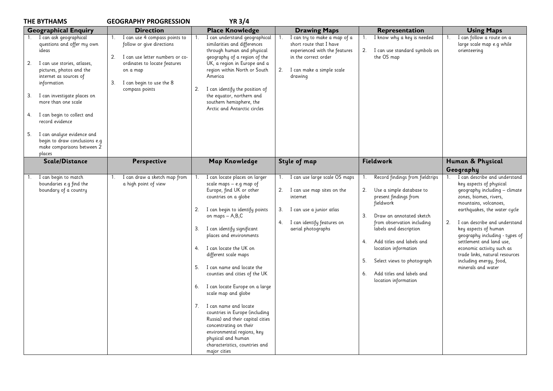| <b>THE BYTHAMS</b>                                                                                                                                                                                                                                                                                                                                                                            | <b>GEOGRAPHY PROGRESSION</b>                                                                                                                                                                                   | <b>YR 3/4</b>                                                                                                                                                                                                                                                                                                                                                                                                                                                                                                                                                                                                                                        |                                                                                                                                                                              |                                                                                                                                                                                                                                                                                                                                                             |                                                                                                                                                                                                                                                                                                                                                                                                                                           |
|-----------------------------------------------------------------------------------------------------------------------------------------------------------------------------------------------------------------------------------------------------------------------------------------------------------------------------------------------------------------------------------------------|----------------------------------------------------------------------------------------------------------------------------------------------------------------------------------------------------------------|------------------------------------------------------------------------------------------------------------------------------------------------------------------------------------------------------------------------------------------------------------------------------------------------------------------------------------------------------------------------------------------------------------------------------------------------------------------------------------------------------------------------------------------------------------------------------------------------------------------------------------------------------|------------------------------------------------------------------------------------------------------------------------------------------------------------------------------|-------------------------------------------------------------------------------------------------------------------------------------------------------------------------------------------------------------------------------------------------------------------------------------------------------------------------------------------------------------|-------------------------------------------------------------------------------------------------------------------------------------------------------------------------------------------------------------------------------------------------------------------------------------------------------------------------------------------------------------------------------------------------------------------------------------------|
| <b>Geographical Enquiry</b>                                                                                                                                                                                                                                                                                                                                                                   | <b>Direction</b>                                                                                                                                                                                               | <b>Place Knowledge</b>                                                                                                                                                                                                                                                                                                                                                                                                                                                                                                                                                                                                                               | <b>Drawing Maps</b>                                                                                                                                                          | Representation                                                                                                                                                                                                                                                                                                                                              | <b>Using Maps</b>                                                                                                                                                                                                                                                                                                                                                                                                                         |
| I can ask geographical<br>questions and offer my own<br>ideas<br>I can use stories, atlases,<br>2.<br>pictures, photos and the<br>internet as sources of<br>information<br>I can investigate places on<br>З.<br>more than one scale<br>I can begin to collect and<br>4.<br>record evidence<br>I can analyse evidence and<br>5.<br>begin to draw conclusions e.g<br>make comparisons between 2 | I can use 4 compass points to<br>$1_{1}$<br>follow or give directions<br>I can use letter numbers or co-<br>2.<br>ordinates to locate features<br>on a map<br>I can begin to use the 8<br>3.<br>compass points | I can understand geographical<br>similarities and differences<br>through human and physical<br>geography of a region of the<br>UK, a region in Europe and a<br>region within North or South<br>America<br>I can identify the position of<br>2.<br>the equator, northern and<br>southern hemisphere, the<br>Arctic and Antarctic circles                                                                                                                                                                                                                                                                                                              | I can try to make a map of a<br>1.<br>short route that I have<br>experienced with the features<br>in the correct order<br>2.<br>I can make a simple scale<br>drawing         | I know why a key is needed<br>2. I can use standard symbols on<br>the OS map                                                                                                                                                                                                                                                                                | I can follow a route on a<br>1.<br>large scale map e.g while<br>orienteering                                                                                                                                                                                                                                                                                                                                                              |
| places<br>Scale/Distance                                                                                                                                                                                                                                                                                                                                                                      | Perspective                                                                                                                                                                                                    | <b>Map Knowledge</b>                                                                                                                                                                                                                                                                                                                                                                                                                                                                                                                                                                                                                                 | Style of map                                                                                                                                                                 | Fieldwork                                                                                                                                                                                                                                                                                                                                                   | Human & Physical                                                                                                                                                                                                                                                                                                                                                                                                                          |
|                                                                                                                                                                                                                                                                                                                                                                                               |                                                                                                                                                                                                                |                                                                                                                                                                                                                                                                                                                                                                                                                                                                                                                                                                                                                                                      |                                                                                                                                                                              |                                                                                                                                                                                                                                                                                                                                                             | Geography                                                                                                                                                                                                                                                                                                                                                                                                                                 |
| I can begin to match<br>boundaries e.g find the<br>boundary of a country                                                                                                                                                                                                                                                                                                                      | I can draw a sketch map from<br>$1_{\cdot}$<br>a high point of view                                                                                                                                            | I can locate places on larger<br>scale maps - e.g map of<br>Europe, find UK or other<br>countries on a globe<br>2. I can begin to identify points<br>on maps - A,B,C<br>3. I can identify significant<br>places and environments<br>4. I can locate the UK on<br>different scale maps<br>5. I can name and locate the<br>counties and cities of the UK<br>6. I can locate Europe on a large<br>scale map and globe<br>7. I can name and locate<br>countries in Europe (including<br>Russia) and their capital cities<br>concentrating on their<br>environmental regions, key<br>physical and human<br>characteristics, countries and<br>major cities | 1. I can use large scale OS maps<br>2.<br>I can use map sites on the<br>internet<br>3.<br>I can use a junior atlas<br>I can identify features on<br>4.<br>aerial photographs | Record findings from fieldtrips<br>2.<br>Use a simple database to<br>present findings from<br>fieldwork<br>3.<br>Draw an annotated sketch<br>from observation including<br>labels and description<br>Add titles and labels and<br>4.<br>location information<br>5.<br>Select views to photograph<br>Add titles and labels and<br>6.<br>location information | I can describe and understand<br>$1_{\ldots}$<br>key aspects of physical<br>geography including - climate<br>zones, biomes, rivers,<br>mountains, volcanoes,<br>earthquakes, the water cycle<br>I can describe and understand<br>2.<br>key aspects of human<br>geography including - types of<br>settlement and land use,<br>economic activity such as<br>trade links, natural resources<br>including energy, food,<br>minerals and water |